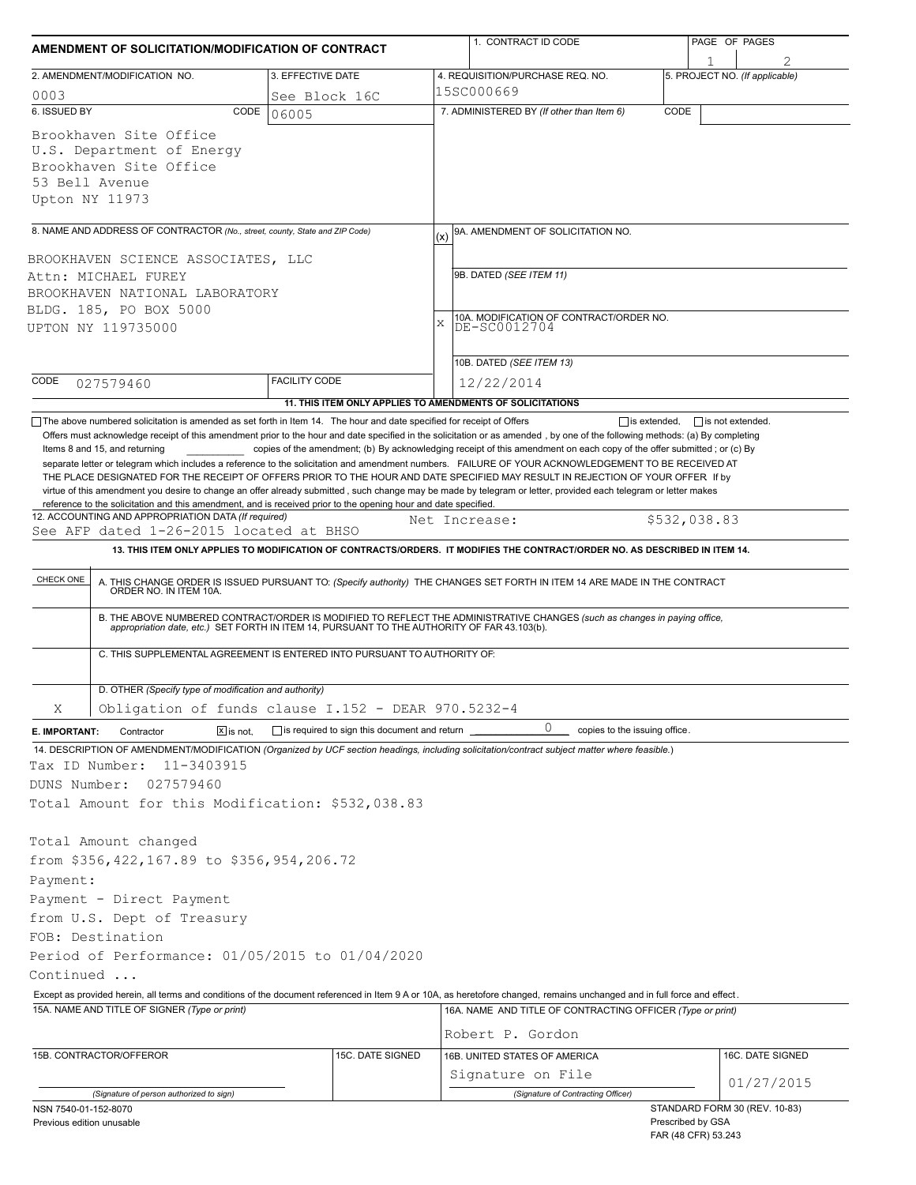| AMENDMENT OF SOLICITATION/MODIFICATION OF CONTRACT                                                                                                                                                                                                             |                              |                                                     |     | 1. CONTRACT ID CODE                                                                                                                                                                                                                                                                                                                                                                                                                                                               |      | PAGE OF PAGES                            |                                |
|----------------------------------------------------------------------------------------------------------------------------------------------------------------------------------------------------------------------------------------------------------------|------------------------------|-----------------------------------------------------|-----|-----------------------------------------------------------------------------------------------------------------------------------------------------------------------------------------------------------------------------------------------------------------------------------------------------------------------------------------------------------------------------------------------------------------------------------------------------------------------------------|------|------------------------------------------|--------------------------------|
| 2. AMENDMENT/MODIFICATION NO.                                                                                                                                                                                                                                  |                              | 3. EFFECTIVE DATE                                   |     | 4. REQUISITION/PURCHASE REQ. NO.                                                                                                                                                                                                                                                                                                                                                                                                                                                  |      | 1                                        | 5. PROJECT NO. (If applicable) |
| 0003                                                                                                                                                                                                                                                           |                              | See Block 16C                                       |     | 15SC000669                                                                                                                                                                                                                                                                                                                                                                                                                                                                        |      |                                          |                                |
| 6. ISSUED BY                                                                                                                                                                                                                                                   | CODE<br>06005                |                                                     |     | 7. ADMINISTERED BY (If other than Item 6)                                                                                                                                                                                                                                                                                                                                                                                                                                         | CODE |                                          |                                |
| Brookhaven Site Office<br>U.S. Department of Energy<br>Brookhaven Site Office<br>53 Bell Avenue<br>Upton NY 11973                                                                                                                                              |                              |                                                     |     |                                                                                                                                                                                                                                                                                                                                                                                                                                                                                   |      |                                          |                                |
| 8. NAME AND ADDRESS OF CONTRACTOR (No., street, county, State and ZIP Code)                                                                                                                                                                                    |                              |                                                     |     | 9A. AMENDMENT OF SOLICITATION NO.                                                                                                                                                                                                                                                                                                                                                                                                                                                 |      |                                          |                                |
|                                                                                                                                                                                                                                                                |                              |                                                     | (x) |                                                                                                                                                                                                                                                                                                                                                                                                                                                                                   |      |                                          |                                |
| BROOKHAVEN SCIENCE ASSOCIATES, LLC<br>Attn: MICHAEL FUREY                                                                                                                                                                                                      |                              |                                                     |     | 9B. DATED (SEE ITEM 11)                                                                                                                                                                                                                                                                                                                                                                                                                                                           |      |                                          |                                |
| BROOKHAVEN NATIONAL LABORATORY                                                                                                                                                                                                                                 |                              |                                                     |     |                                                                                                                                                                                                                                                                                                                                                                                                                                                                                   |      |                                          |                                |
| BLDG. 185, PO BOX 5000                                                                                                                                                                                                                                         |                              |                                                     |     |                                                                                                                                                                                                                                                                                                                                                                                                                                                                                   |      |                                          |                                |
| UPTON NY 119735000                                                                                                                                                                                                                                             |                              |                                                     | X   | 10A. MODIFICATION OF CONTRACT/ORDER NO.<br>DE-SC0012704                                                                                                                                                                                                                                                                                                                                                                                                                           |      |                                          |                                |
|                                                                                                                                                                                                                                                                |                              |                                                     |     |                                                                                                                                                                                                                                                                                                                                                                                                                                                                                   |      |                                          |                                |
|                                                                                                                                                                                                                                                                |                              |                                                     |     | 10B. DATED (SEE ITEM 13)                                                                                                                                                                                                                                                                                                                                                                                                                                                          |      |                                          |                                |
| CODE<br>027579460                                                                                                                                                                                                                                              | <b>FACILITY CODE</b>         |                                                     |     | 12/22/2014                                                                                                                                                                                                                                                                                                                                                                                                                                                                        |      |                                          |                                |
|                                                                                                                                                                                                                                                                |                              |                                                     |     | 11. THIS ITEM ONLY APPLIES TO AMENDMENTS OF SOLICITATIONS                                                                                                                                                                                                                                                                                                                                                                                                                         |      |                                          |                                |
| See AFP dated 1-26-2015 located at BHSO<br>CHECK ONE<br>ORDER NO. IN ITEM 10A.<br>C. THIS SUPPLEMENTAL AGREEMENT IS ENTERED INTO PURSUANT TO AUTHORITY OF:                                                                                                     |                              |                                                     |     | 13. THIS ITEM ONLY APPLIES TO MODIFICATION OF CONTRACTS/ORDERS. IT MODIFIES THE CONTRACT/ORDER NO. AS DESCRIBED IN ITEM 14.<br>A. THIS CHANGE ORDER IS ISSUED PURSUANT TO: (Specify authority) THE CHANGES SET FORTH IN ITEM 14 ARE MADE IN THE CONTRACT<br>B. THE ABOVE NUMBERED CONTRACT/ORDER IS MODIFIED TO REFLECT THE ADMINISTRATIVE CHANGES (such as changes in paying office, appropriation date, etc.) SET FORTH IN ITEM 14, PURSUANT TO THE AUTHORITY OF FAR 43.103(b). |      |                                          |                                |
| D. OTHER (Specify type of modification and authority)                                                                                                                                                                                                          |                              |                                                     |     |                                                                                                                                                                                                                                                                                                                                                                                                                                                                                   |      |                                          |                                |
| Obligation of funds clause I.152 - DEAR 970.5232-4<br>Χ                                                                                                                                                                                                        |                              |                                                     |     |                                                                                                                                                                                                                                                                                                                                                                                                                                                                                   |      |                                          |                                |
| E. IMPORTANT:<br>Contractor                                                                                                                                                                                                                                    | $\boxed{\mathsf{X}}$ is not. | $\Box$ is required to sign this document and return |     | 0<br>copies to the issuing office.                                                                                                                                                                                                                                                                                                                                                                                                                                                |      |                                          |                                |
| 14. DESCRIPTION OF AMENDMENT/MODIFICATION (Organized by UCF section headings, including solicitation/contract subject matter where feasible.)<br>Tax ID Number:<br>11-3403915<br>DUNS Number:<br>027579460<br>Total Amount for this Modification: \$532,038.83 |                              |                                                     |     |                                                                                                                                                                                                                                                                                                                                                                                                                                                                                   |      |                                          |                                |
| Total Amount changed                                                                                                                                                                                                                                           |                              |                                                     |     |                                                                                                                                                                                                                                                                                                                                                                                                                                                                                   |      |                                          |                                |
| from \$356,422,167.89 to \$356,954,206.72                                                                                                                                                                                                                      |                              |                                                     |     |                                                                                                                                                                                                                                                                                                                                                                                                                                                                                   |      |                                          |                                |
| Payment:                                                                                                                                                                                                                                                       |                              |                                                     |     |                                                                                                                                                                                                                                                                                                                                                                                                                                                                                   |      |                                          |                                |
| Payment - Direct Payment                                                                                                                                                                                                                                       |                              |                                                     |     |                                                                                                                                                                                                                                                                                                                                                                                                                                                                                   |      |                                          |                                |
| from U.S. Dept of Treasury                                                                                                                                                                                                                                     |                              |                                                     |     |                                                                                                                                                                                                                                                                                                                                                                                                                                                                                   |      |                                          |                                |
| FOB: Destination                                                                                                                                                                                                                                               |                              |                                                     |     |                                                                                                                                                                                                                                                                                                                                                                                                                                                                                   |      |                                          |                                |
| Period of Performance: 01/05/2015 to 01/04/2020                                                                                                                                                                                                                |                              |                                                     |     |                                                                                                                                                                                                                                                                                                                                                                                                                                                                                   |      |                                          |                                |
| Continued                                                                                                                                                                                                                                                      |                              |                                                     |     |                                                                                                                                                                                                                                                                                                                                                                                                                                                                                   |      |                                          |                                |
| Except as provided herein, all terms and conditions of the document referenced in Item 9 A or 10A, as heretofore changed, remains unchanged and in full force and effect.<br>15A. NAME AND TITLE OF SIGNER (Type or print)                                     |                              |                                                     |     | 16A. NAME AND TITLE OF CONTRACTING OFFICER (Type or print)                                                                                                                                                                                                                                                                                                                                                                                                                        |      |                                          |                                |
|                                                                                                                                                                                                                                                                |                              |                                                     |     |                                                                                                                                                                                                                                                                                                                                                                                                                                                                                   |      |                                          |                                |
|                                                                                                                                                                                                                                                                |                              |                                                     |     | Robert P. Gordon                                                                                                                                                                                                                                                                                                                                                                                                                                                                  |      |                                          |                                |
| 15B. CONTRACTOR/OFFEROR                                                                                                                                                                                                                                        |                              | 15C. DATE SIGNED                                    |     | 16B. UNITED STATES OF AMERICA                                                                                                                                                                                                                                                                                                                                                                                                                                                     |      |                                          | 16C. DATE SIGNED               |
|                                                                                                                                                                                                                                                                |                              |                                                     |     | Signature on File                                                                                                                                                                                                                                                                                                                                                                                                                                                                 |      |                                          | 01/27/2015                     |
| (Signature of person authorized to sign)                                                                                                                                                                                                                       |                              |                                                     |     | (Signature of Contracting Officer)                                                                                                                                                                                                                                                                                                                                                                                                                                                |      |                                          |                                |
| NSN 7540-01-152-8070<br>Previous edition unusable                                                                                                                                                                                                              |                              |                                                     |     |                                                                                                                                                                                                                                                                                                                                                                                                                                                                                   |      | Prescribed by GSA<br>FAR (48 CFR) 53.243 | STANDARD FORM 30 (REV. 10-83)  |